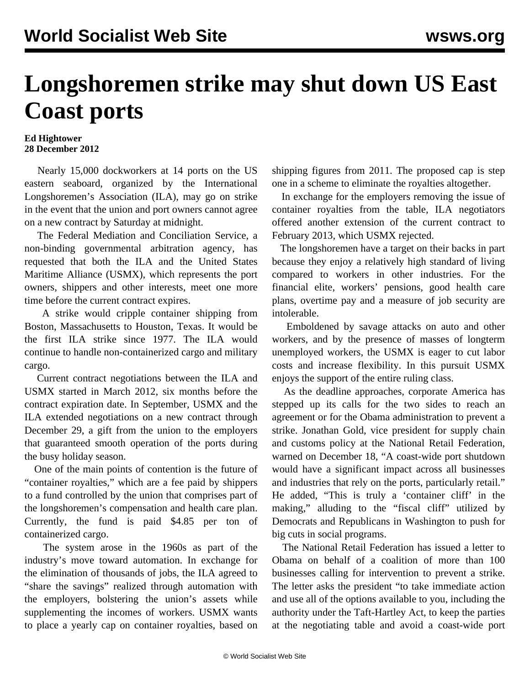## **Longshoremen strike may shut down US East Coast ports**

## **Ed Hightower 28 December 2012**

 Nearly 15,000 dockworkers at 14 ports on the US eastern seaboard, organized by the International Longshoremen's Association (ILA), may go on strike in the event that the union and port owners cannot agree on a new contract by Saturday at midnight.

 The Federal Mediation and Conciliation Service, a non-binding governmental arbitration agency, has requested that both the ILA and the United States Maritime Alliance (USMX), which represents the port owners, shippers and other interests, meet one more time before the current contract expires.

 A strike would cripple container shipping from Boston, Massachusetts to Houston, Texas. It would be the first ILA strike since 1977. The ILA would continue to handle non-containerized cargo and military cargo.

 Current contract negotiations between the ILA and USMX started in March 2012, six months before the contract expiration date. In September, USMX and the ILA extended negotiations on a new contract through December 29, a gift from the union to the employers that guaranteed smooth operation of the ports during the busy holiday season.

 One of the main points of contention is the future of "container royalties," which are a fee paid by shippers to a fund controlled by the union that comprises part of the longshoremen's compensation and health care plan. Currently, the fund is paid \$4.85 per ton of containerized cargo.

 The system arose in the 1960s as part of the industry's move toward automation. In exchange for the elimination of thousands of jobs, the ILA agreed to "share the savings" realized through automation with the employers, bolstering the union's assets while supplementing the incomes of workers. USMX wants to place a yearly cap on container royalties, based on shipping figures from 2011. The proposed cap is step one in a scheme to eliminate the royalties altogether.

 In exchange for the employers removing the issue of container royalties from the table, ILA negotiators offered another extension of the current contract to February 2013, which USMX rejected.

 The longshoremen have a target on their backs in part because they enjoy a relatively high standard of living compared to workers in other industries. For the financial elite, workers' pensions, good health care plans, overtime pay and a measure of job security are intolerable.

 Emboldened by savage attacks on auto and other workers, and by the presence of masses of longterm unemployed workers, the USMX is eager to cut labor costs and increase flexibility. In this pursuit USMX enjoys the support of the entire ruling class.

 As the deadline approaches, corporate America has stepped up its calls for the two sides to reach an agreement or for the Obama administration to prevent a strike. Jonathan Gold, vice president for supply chain and customs policy at the National Retail Federation, warned on December 18, "A coast-wide port shutdown would have a significant impact across all businesses and industries that rely on the ports, particularly retail." He added, "This is truly a 'container cliff' in the making," alluding to the "fiscal cliff" utilized by Democrats and Republicans in Washington to push for big cuts in social programs.

 The National Retail Federation has issued a letter to Obama on behalf of a coalition of more than 100 businesses calling for intervention to prevent a strike. The letter asks the president "to take immediate action and use all of the options available to you, including the authority under the Taft-Hartley Act, to keep the parties at the negotiating table and avoid a coast-wide port